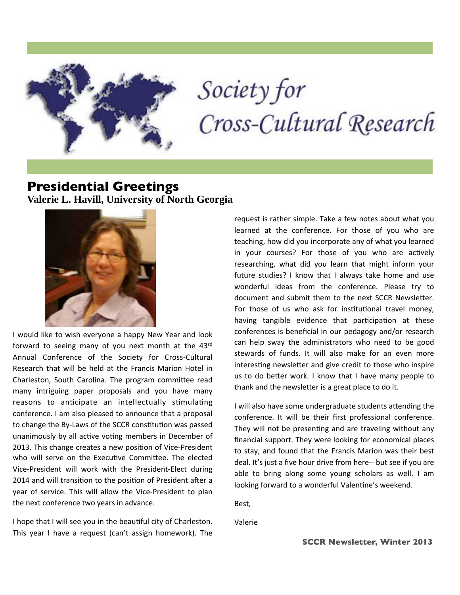

# Society for Cross-Cultural Research

## **Presidential Greetings Valerie L. Havill, University of North Georgia**



I would like to wish everyone a happy New Year and look forward to seeing many of you next month at the 43rd Annual Conference of the Society for Cross-Cultural Research that will be held at the Francis Marion Hotel in Charleston, South Carolina. The program committee read many intriguing paper proposals and you have many reasons to anticipate an intellectually stimulating conference. I am also pleased to announce that a proposal to change the By-Laws of the SCCR constitution was passed unanimously by all active voting members in December of 2013. This change creates a new position of Vice-President who will serve on the Executive Committee. The elected Vice-President will work with the President-Elect during 2014 and will transition to the position of President after a year of service. This will allow the Vice-President to plan the next conference two years in advance.

I hope that I will see you in the beautiful city of Charleston. This year I have a request (can't assign homework). The request is rather simple. Take a few notes about what you learned at the conference. For those of you who are teaching, how did you incorporate any of what you learned in your courses? For those of you who are actively researching, what did you learn that might inform your future studies? I know that I always take home and use wonderful ideas from the conference. Please try to document and submit them to the next SCCR Newsletter. For those of us who ask for institutional travel money, having tangible evidence that participation at these conferences is beneficial in our pedagogy and/or research can help sway the administrators who need to be good stewards of funds. It will also make for an even more interesting newsletter and give credit to those who inspire us to do better work. I know that I have many people to thank and the newsletter is a great place to do it.

I will also have some undergraduate students attending the conference. It will be their first professional conference. They will not be presenting and are traveling without any financial support. They were looking for economical places to stay, and found that the Francis Marion was their best deal. It's just a five hour drive from here-- but see if you are able to bring along some young scholars as well. I am looking forward to a wonderful Valentine's weekend.

Best,

Valerie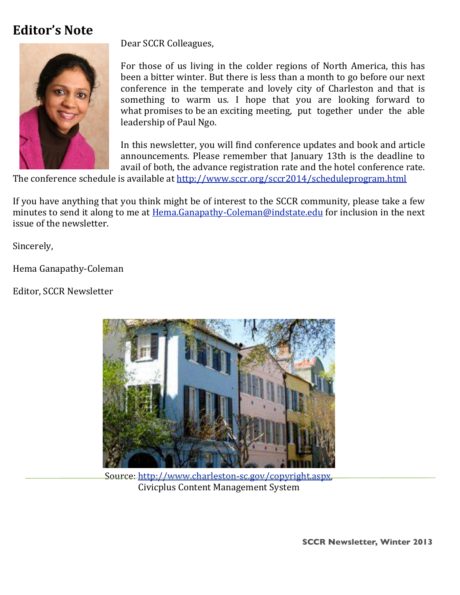# **Editor's Note**



Dear SCCR Colleagues,

For those of us living in the colder regions of North America, this has been a bitter winter. But there is less than a month to go before our next conference in the temperate and lovely city of Charleston and that is something to warm us. I hope that you are looking forward to what promises to be an exciting meeting, put together under the able leadership of Paul Ngo.

In this newsletter, you will find conference updates and book and article announcements. Please remember that January 13th is the deadline to avail of both, the advance registration rate and the hotel conference rate.

The conference schedule is available at http://www.sccr.org/sccr2014/scheduleprogram.html

If you have anything that you think might be of interest to the SCCR community, please take a few minutes to send it along to me at Hema.Ganapathy-Coleman@indstate.edu for inclusion in the next issue of the newsletter.

Sincerely,

Hema Ganapathy-Coleman

Editor, SCCR Newsletter



Source: http://www.charleston-sc.gov/copyright.aspx, Civicplus Content Management System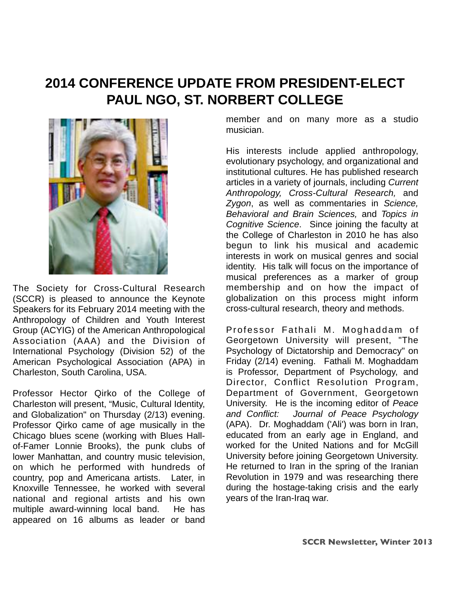# **2014 CONFERENCE UPDATE FROM PRESIDENT-ELECT PAUL NGO, ST. NORBERT COLLEGE**



The Society for Cross-Cultural Research (SCCR) is pleased to announce the Keynote Speakers for its February 2014 meeting with the Anthropology of Children and Youth Interest Group (ACYIG) of the American Anthropological Association (AAA) and the Division of International Psychology (Division 52) of the American Psychological Association (APA) in Charleston, South Carolina, USA.

Professor Hector Qirko of the College of Charleston will present, "Music, Cultural Identity, and Globalization" on Thursday (2/13) evening. Professor Qirko came of age musically in the Chicago blues scene (working with Blues Hallof-Famer Lonnie Brooks), the punk clubs of lower Manhattan, and country music television, on which he performed with hundreds of country, pop and Americana artists. Later, in Knoxville Tennessee, he worked with several national and regional artists and his own multiple award-winning local band. He has appeared on 16 albums as leader or band

member and on many more as a studio musician.

His interests include applied anthropology, evolutionary psychology, and organizational and institutional cultures. He has published research articles in a variety of journals, including Current Anthropology, Cross-Cultural Research, and Zygon, as well as commentaries in Science, Behavioral and Brain Sciences, and Topics in Cognitive Science. Since joining the faculty at the College of Charleston in 2010 he has also begun to link his musical and academic interests in work on musical genres and social identity. His talk will focus on the importance of musical preferences as a marker of group membership and on how the impact of globalization on this process might inform cross-cultural research, theory and methods.

Professor Fathali M. Moghaddam of Georgetown University will present, "The Psychology of Dictatorship and Democracy" on Friday (2/14) evening. Fathali M. Moghaddam is Professor, Department of Psychology, and Director, Conflict Resolution Program, Department of Government, Georgetown University. He is the incoming editor of Peace and Conflict: Journal of Peace Psychology (APA). Dr. Moghaddam ('Ali') was born in Iran, educated from an early age in England, and worked for the United Nations and for McGill University before joining Georgetown University. He returned to Iran in the spring of the Iranian Revolution in 1979 and was researching there during the hostage-taking crisis and the early years of the Iran-Iraq war.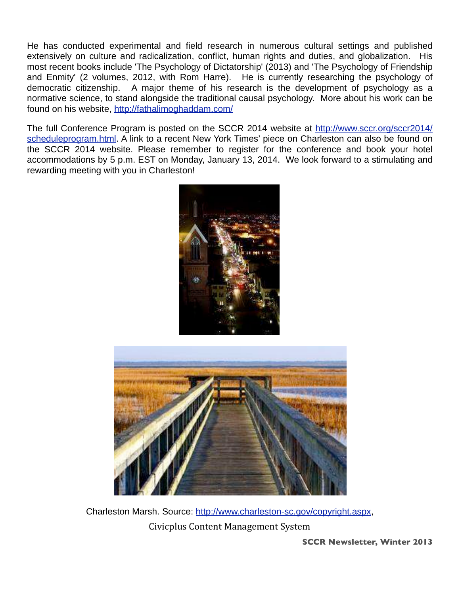He has conducted experimental and field research in numerous cultural settings and published extensively on culture and radicalization, conflict, human rights and duties, and globalization. His most recent books include 'The Psychology of Dictatorship' (2013) and 'The Psychology of Friendship and Enmity' (2 volumes, 2012, with Rom Harre). He is currently researching the psychology of democratic citizenship. A major theme of his research is the development of psychology as a normative science, to stand alongside the traditional causal psychology. More about his work can be found on his website, http://fathalimoghaddam.com/

The full Conference Program is posted on the SCCR 2014 website at http://www.sccr.org/sccr2014/ scheduleprogram.html. A link to a recent New York Times' piece on Charleston can also be found on the SCCR 2014 website. Please remember to register for the conference and book your hotel accommodations by 5 p.m. EST on Monday, January 13, 2014. We look forward to a stimulating and rewarding meeting with you in Charleston!





Charleston Marsh. Source: http://www.charleston-sc.gov/copyright.aspx, Civicplus Content Management System

**SCCR Newsletter, Winter 2013**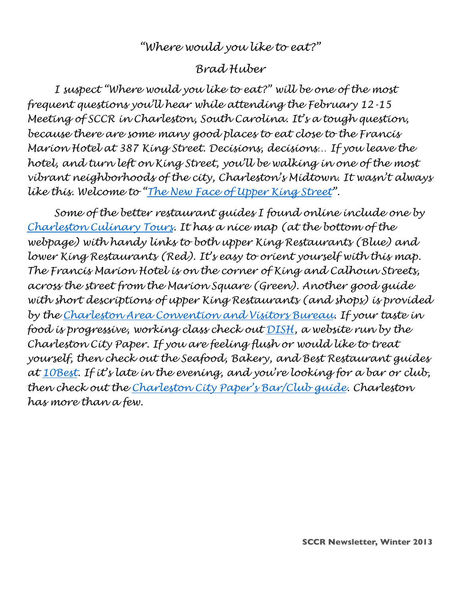### *"Where would you like to eat?"*

### *Brad Huber*

*I suspect "Where would you like to eat?" will be one of the most frequent questions you'll hear while attending the February 12-15 Meeting of SCCR in Charleston, South Carolina. It's a tough question, because there are some many good places to eat close to the Francis Marion Hotel at 387 King Street. Decisions, decisions… If you leave the hotel, and turn left on King Street, you'll be walking in one of the most vibrant neighborhoods of the city, Charleston's Midtown. It wasn't always like this. Welcome to "The New Face of Upper King Street".*

 *Some of the better restaurant guides I found online include one by Charleston Culinary Tours. It has a nice map (at the bottom of the webpage) with handy links to both upper King Restaurants (Blue) and lower King Restaurants (Red). It's easy to orient yourself with this map. The Francis Marion Hotel is on the corner of King and Calhoun Streets, across the street from the Marion Square (Green). Another good guide with short descriptions of upper King Restaurants (and shops) is provided by the Charleston Area Convention and Visitors Bureau. If your taste in food is progressive, working class check out DISH, a website run by the Charleston City Paper. If you are feeling flush or would like to treat yourself, then check out the Seafood, Bakery, and Best Restaurant guides at 10Best. If it's late in the evening, and you're looking for a bar or club, then check out the Charleston City Paper's Bar/Club guide. Charleston has more than a few.*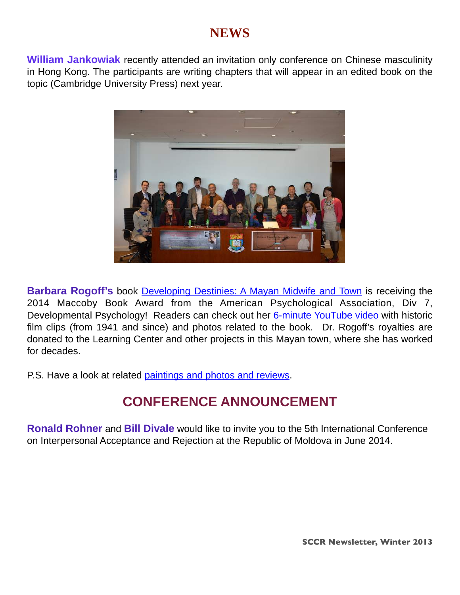# **NEWS**

**William Jankowiak** recently attended an invitation only conference on Chinese masculinity in Hong Kong. The participants are writing chapters that will appear in an edited book on the topic (Cambridge University Press) next year.



**Barbara Rogoff's** book **Developing Destinies: A Mayan Midwife and Town** is receiving the 2014 Maccoby Book Award from the American Psychological Association, Div 7, Developmental Psychology! Readers can check out her 6-minute YouTube video with historic film clips (from 1941 and since) and photos related to the book. Dr. Rogoff's royalties are donated to the Learning Center and other projects in this Mayan town, where she has worked for decades.

P.S. Have a look at related paintings and photos and reviews.

# **CONFERENCE ANNOUNCEMENT**

**Ronald Rohner** and **Bill Divale** would like to invite you to the 5th International Conference on Interpersonal Acceptance and Rejection at the Republic of Moldova in June 2014.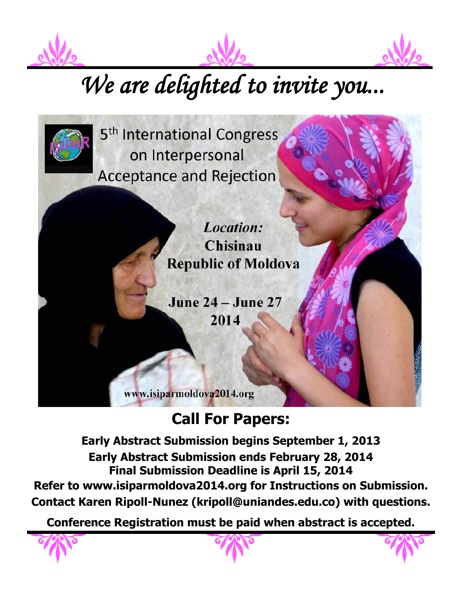





# We are delighted to invite you...

5<sup>th</sup> International Congress on Interpersonal **Acceptance and Rejection** 

> Location: Chisinau **Republic of Moldova**

**June 24 – June 27** 2014

www.isiparmoldova2014.org

# **Call For Papers:**

**Early Abstract Submission begins September 1, 2013 Early Abstract Submission ends February 28, 2014 Final Submission Deadline is April 15, 2014 Refer to www.isiparmoldova2014.org for Instructions on Submission. Contact Karen Ripoll-Nunez (kripoll@uniandes.edu.co) with questions.**

**Conference Registration must be paid when abstract is accepted.**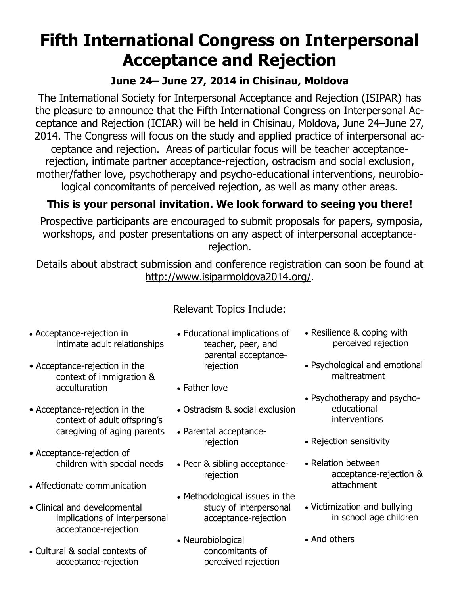# **Fifth International Congress on Interpersonal Acceptance and Rejection**

# **June 24– June 27, 2014 in Chisinau, Moldova**

The International Society for Interpersonal Acceptance and Rejection (ISIPAR) has the pleasure to announce that the Fifth International Congress on Interpersonal Acceptance and Rejection (ICIAR) will be held in Chisinau, Moldova, June 24–June 27, 2014. The Congress will focus on the study and applied practice of interpersonal acceptance and rejection. Areas of particular focus will be teacher acceptancerejection, intimate partner acceptance-rejection, ostracism and social exclusion, mother/father love, psychotherapy and psycho-educational interventions, neurobiological concomitants of perceived rejection, as well as many other areas.

# **This is your personal invitation. We look forward to seeing you there!**

Prospective participants are encouraged to submit proposals for papers, symposia, workshops, and poster presentations on any aspect of interpersonal acceptancerejection.

Details about abstract submission and conference registration can soon be found at http://www.isiparmoldova2014.org/.

Relevant Topics Include:

• Acceptance-rejection in intimate adult relationships

- Acceptance-rejection in the context of immigration & acculturation
- Acceptance-rejection in the context of adult offspring's caregiving of aging parents
- Acceptance-rejection of children with special needs
- Affectionate communication
- Clinical and developmental implications of interpersonal acceptance-rejection
- Cultural & social contexts of acceptance-rejection
- Educational implications of teacher, peer, and parental acceptancerejection
- Father love
- Ostracism & social exclusion
- Parental acceptancerejection
- Peer & sibling acceptancerejection
- Methodological issues in the study of interpersonal acceptance-rejection
- Neurobiological concomitants of perceived rejection
- Resilience & coping with perceived rejection
- Psychological and emotional maltreatment
- Psychotherapy and psychoeducational interventions
- Rejection sensitivity
- Relation between acceptance-rejection & attachment
- Victimization and bullying in school age children
- And others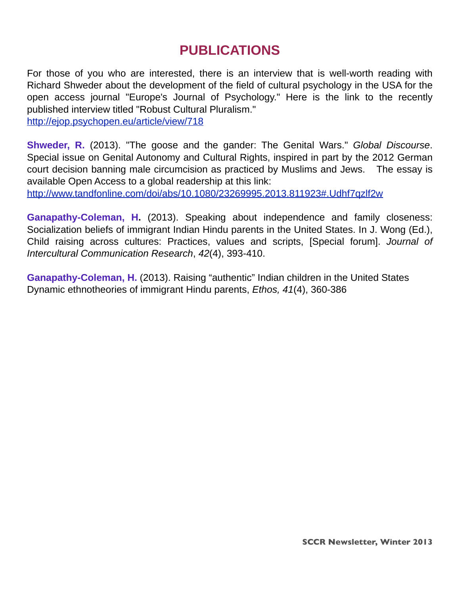# **PUBLICATIONS**

For those of you who are interested, there is an interview that is well-worth reading with Richard Shweder about the development of the field of cultural psychology in the USA for the open access journal "Europe's Journal of Psychology." Here is the link to the recently published interview titled "Robust Cultural Pluralism." http://ejop.psychopen.eu/article/view/718

**Shweder, R.** (2013). "The goose and the gander: The Genital Wars." Global Discourse. Special issue on Genital Autonomy and Cultural Rights, inspired in part by the 2012 German court decision banning male circumcision as practiced by Muslims and Jews. The essay is available Open Access to a global readership at this link:

http://www.tandfonline.com/doi/abs/10.1080/23269995.2013.811923#.Udhf7qzlf2w

**Ganapathy-Coleman, H.** (2013). Speaking about independence and family closeness: Socialization beliefs of immigrant Indian Hindu parents in the United States. In J. Wong (Ed.), Child raising across cultures: Practices, values and scripts, [Special forum]. Journal of Intercultural Communication Research, 42(4), 393-410.

**Ganapathy-Coleman, H.** (2013). Raising "authentic" Indian children in the United States Dynamic ethnotheories of immigrant Hindu parents, Ethos, 41(4), 360-386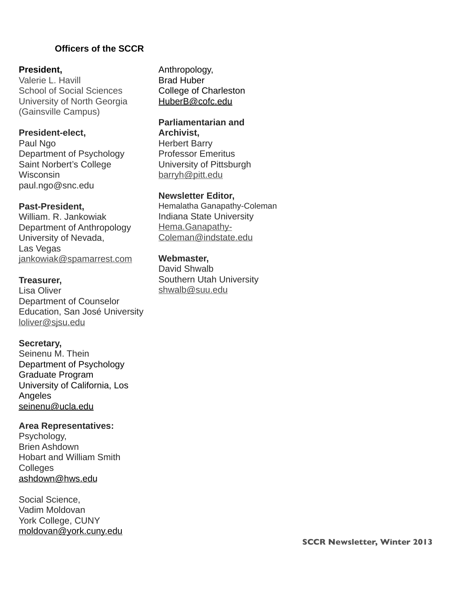#### **))))))))))))))))))Officers of the SCCR**

#### **President,**

Valerie L. Havill School of Social Sciences University of North Georgia (Gainsville Campus)

#### **President-elect,**

Paul Ngo Department of Psychology Saint Norbert's College **Wisconsin** paul.ngo@snc.edu

#### **Past-President,**

William. R. Jankowiak Department of Anthropology University of Nevada, Las Vegas jankowiak@spamarrest.com

#### **Treasurer,**

Lisa Oliver Department of Counselor Education, San José University loliver@sjsu.edu

#### **Secretary,**

Seinenu M. Thein Department of Psychology Graduate Program University of California, Los Angeles seinenu@ucla.edu

#### **Area Representatives:**

Psychology, Brien Ashdown Hobart and William Smith **Colleges** ashdown@hws.edu

Social Science, Vadim Moldovan York College, CUNY moldovan@york.cuny.edu Anthropology, Brad Huber College of Charleston HuberB@cofc.edu

#### **Parliamentarian and Archivist,**

Herbert Barry Professor Emeritus University of Pittsburgh barryh@pitt.edu

#### **Newsletter Editor,**

Hemalatha Ganapathy-Coleman Indiana State University Hema.Ganapathy-Coleman@indstate.edu

#### **Webmaster,**

David Shwalb Southern Utah University shwalb@suu.edu